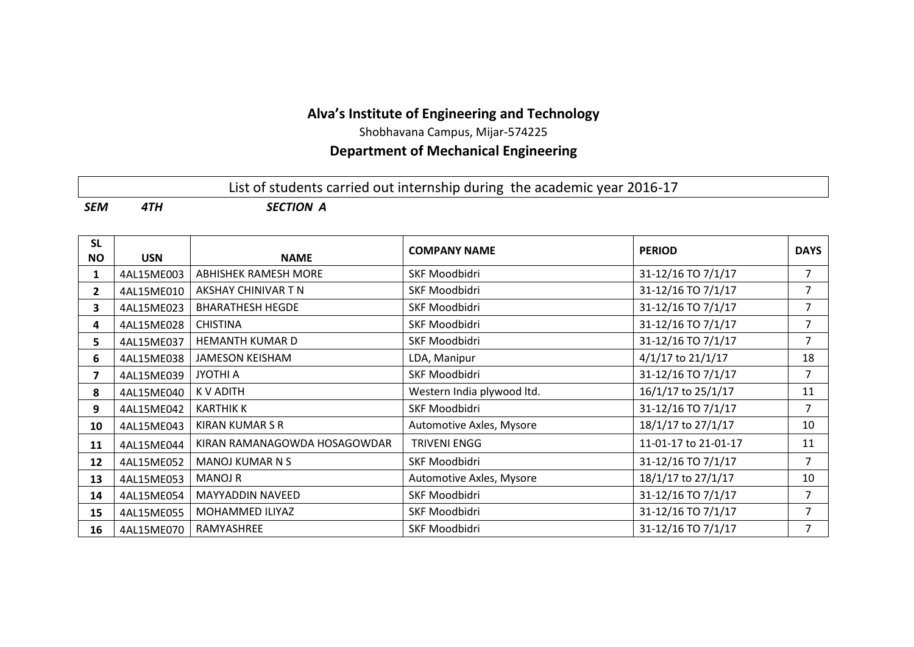# **Alva's Institute of Engineering and Technology**

Shobhavana Campus, Mijar-574225

# **Department of Mechanical Engineering**

# List of students carried out internship during the academic year 2016-17

*SEM 4TH SECTION A*

| <b>SL</b><br><b>NO</b> | <b>USN</b> | <b>NAME</b>                  | <b>COMPANY NAME</b>        | <b>PERIOD</b>         | <b>DAYS</b>    |
|------------------------|------------|------------------------------|----------------------------|-----------------------|----------------|
| 1                      | 4AL15ME003 | <b>ABHISHEK RAMESH MORE</b>  | <b>SKF Moodbidri</b>       | 31-12/16 TO 7/1/17    | $\overline{7}$ |
| $\mathbf{2}$           | 4AL15ME010 | AKSHAY CHINIVAR T N          | <b>SKF Moodbidri</b>       | 31-12/16 TO 7/1/17    | 7              |
| 3                      | 4AL15ME023 | <b>BHARATHESH HEGDE</b>      | <b>SKF Moodbidri</b>       | 31-12/16 TO 7/1/17    | 7              |
| 4                      | 4AL15ME028 | <b>CHISTINA</b>              | <b>SKF Moodbidri</b>       | 31-12/16 TO 7/1/17    | 7              |
| 5.                     | 4AL15ME037 | <b>HEMANTH KUMAR D</b>       | <b>SKF Moodbidri</b>       | 31-12/16 TO 7/1/17    | 7              |
| 6                      | 4AL15ME038 | <b>JAMESON KEISHAM</b>       | LDA, Manipur               | $4/1/17$ to $21/1/17$ | 18             |
| 7                      | 4AL15ME039 | JYOTHI A                     | <b>SKF Moodbidri</b>       | 31-12/16 TO 7/1/17    | $\overline{7}$ |
| 8                      | 4AL15ME040 | K V ADITH                    | Western India plywood ltd. | 16/1/17 to 25/1/17    | 11             |
| 9                      | 4AL15ME042 | <b>KARTHIK K</b>             | <b>SKF Moodbidri</b>       | 31-12/16 TO 7/1/17    | 7              |
| 10                     | 4AL15ME043 | KIRAN KUMAR S R              | Automotive Axles, Mysore   | 18/1/17 to 27/1/17    | 10             |
| 11                     | 4AL15ME044 | KIRAN RAMANAGOWDA HOSAGOWDAR | <b>TRIVENI ENGG</b>        | 11-01-17 to 21-01-17  | 11             |
| 12                     | 4AL15ME052 | <b>MANOJ KUMAR N S</b>       | <b>SKF Moodbidri</b>       | 31-12/16 TO 7/1/17    | $\overline{7}$ |
| 13                     | 4AL15ME053 | <b>MANOJ R</b>               | Automotive Axles, Mysore   | 18/1/17 to 27/1/17    | 10             |
| 14                     | 4AL15ME054 | <b>MAYYADDIN NAVEED</b>      | SKF Moodbidri              | 31-12/16 TO 7/1/17    | $\overline{7}$ |
| 15                     | 4AL15ME055 | MOHAMMED ILIYAZ              | <b>SKF Moodbidri</b>       | 31-12/16 TO 7/1/17    | 7              |
| 16                     | 4AL15ME070 | RAMYASHREE                   | <b>SKF Moodbidri</b>       | 31-12/16 TO 7/1/17    | 7              |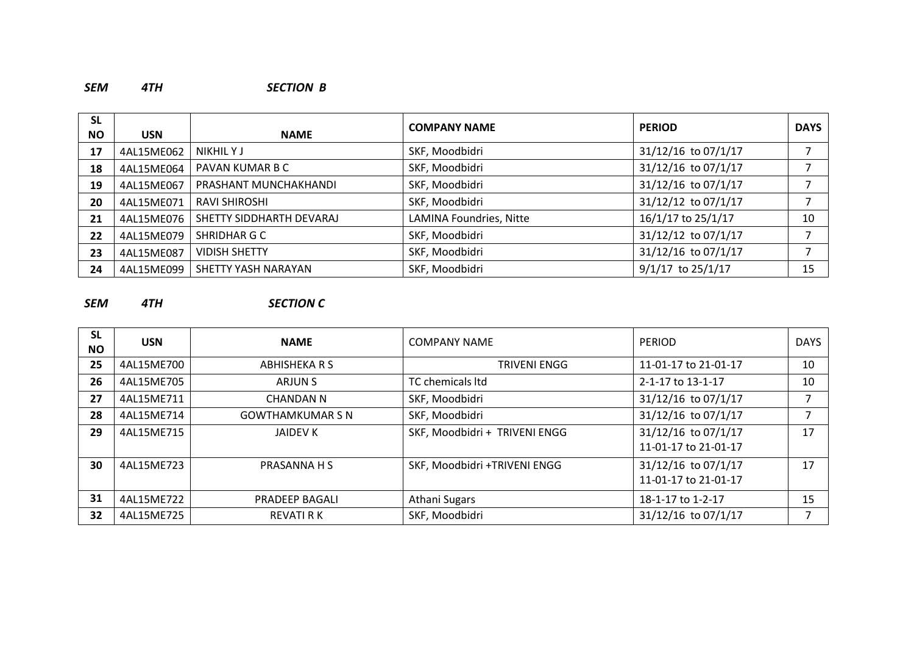#### *SEM 4TH SECTION B*

| <b>SL</b> |            |                          | <b>COMPANY NAME</b>     | <b>PERIOD</b>         | <b>DAYS</b> |
|-----------|------------|--------------------------|-------------------------|-----------------------|-------------|
| <b>NO</b> | <b>USN</b> | <b>NAME</b>              |                         |                       |             |
| 17        | 4AL15ME062 | NIKHIL Y J               | SKF, Moodbidri          | 31/12/16 to 07/1/17   | 7           |
| 18        | 4AL15ME064 | PAVAN KUMAR B C          | SKF, Moodbidri          | 31/12/16 to 07/1/17   | 7           |
| 19        | 4AL15ME067 | PRASHANT MUNCHAKHANDI    | SKF, Moodbidri          | 31/12/16 to 07/1/17   | ⇁           |
| 20        | 4AL15ME071 | <b>RAVI SHIROSHI</b>     | SKF, Moodbidri          | 31/12/12 to 07/1/17   | 7           |
| 21        | 4AL15ME076 | SHETTY SIDDHARTH DEVARAJ | LAMINA Foundries, Nitte | 16/1/17 to 25/1/17    | 10          |
| 22        | 4AL15ME079 | SHRIDHAR G C             | SKF, Moodbidri          | 31/12/12 to 07/1/17   |             |
| 23        | 4AL15ME087 | <b>VIDISH SHETTY</b>     | SKF, Moodbidri          | 31/12/16 to 07/1/17   | ⇁           |
| 24        | 4AL15ME099 | SHETTY YASH NARAYAN      | SKF, Moodbidri          | $9/1/17$ to $25/1/17$ | 15          |

### *SEM 4TH SECTION C*

| <b>SL</b><br><b>NO</b> | <b>USN</b> | <b>NAME</b>             | <b>COMPANY NAME</b>           | <b>PERIOD</b>                               | <b>DAYS</b> |
|------------------------|------------|-------------------------|-------------------------------|---------------------------------------------|-------------|
| 25                     | 4AL15ME700 | ABHISHEKA R S           | <b>TRIVENI ENGG</b>           | 11-01-17 to 21-01-17                        | 10          |
| 26                     | 4AL15ME705 | ARJUN S                 | TC chemicals ltd              | 2-1-17 to 13-1-17                           | 10          |
| 27                     | 4AL15ME711 | CHANDAN N               | SKF, Moodbidri                | 31/12/16 to 07/1/17                         |             |
| 28                     | 4AL15ME714 | <b>GOWTHAMKUMAR S N</b> | SKF, Moodbidri                | 31/12/16 to 07/1/17                         |             |
| 29                     | 4AL15ME715 | JAIDEV K                | SKF, Moodbidri + TRIVENI ENGG | 31/12/16 to 07/1/17<br>11-01-17 to 21-01-17 | 17          |
| 30                     | 4AL15ME723 | PRASANNA H S            | SKF, Moodbidri +TRIVENI ENGG  | 31/12/16 to 07/1/17<br>11-01-17 to 21-01-17 | 17          |
| 31                     | 4AL15ME722 | PRADEEP BAGALI          | Athani Sugars                 | 18-1-17 to 1-2-17                           | 15          |
| 32                     | 4AL15ME725 | <b>REVATI R K</b>       | SKF, Moodbidri                | 31/12/16 to 07/1/17                         |             |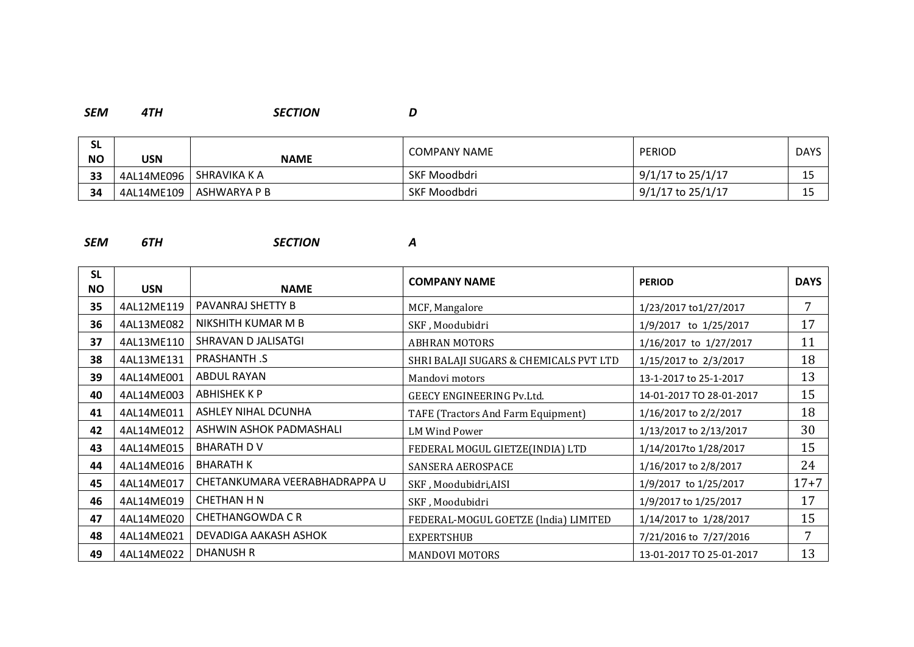#### *SEM 4TH SECTION D*

| <b>SL</b><br><b>NO</b> | USN        | <b>NAME</b>  | <b>COMPANY NAME</b> | <b>PERIOD</b>     | <b>DAYS</b>      |
|------------------------|------------|--------------|---------------------|-------------------|------------------|
| 33                     | 4AL14ME096 | SHRAVIKA K A | <b>SKF Moodbdri</b> | 9/1/17 to 25/1/17 | 1 E<br>--        |
| 34                     | 4AL14ME109 | ASHWARYA P B | <b>SKF Moodbdri</b> | 9/1/17 to 25/1/17 | <b>1 F</b><br>-- |

#### *SEM 6TH SECTION A*

| <b>SL</b><br><b>NO</b> | <b>USN</b> | <b>NAME</b>                   | <b>COMPANY NAME</b>                    | <b>PERIOD</b>            | <b>DAYS</b> |
|------------------------|------------|-------------------------------|----------------------------------------|--------------------------|-------------|
| 35                     | 4AL12ME119 | PAVANRAJ SHETTY B             | MCF, Mangalore                         | 1/23/2017 to1/27/2017    | 7           |
| 36                     | 4AL13ME082 | NIKSHITH KUMAR M B            | SKF, Moodubidri                        | 1/9/2017 to 1/25/2017    | 17          |
| 37                     | 4AL13ME110 | SHRAVAN D JALISATGI           | <b>ABHRAN MOTORS</b>                   | 1/16/2017 to 1/27/2017   | 11          |
| 38                     | 4AL13ME131 | PRASHANTH .S                  | SHRI BALAJI SUGARS & CHEMICALS PVT LTD | 1/15/2017 to 2/3/2017    | 18          |
| 39                     | 4AL14ME001 | ABDUL RAYAN                   | Mandovi motors                         | 13-1-2017 to 25-1-2017   | 13          |
| 40                     | 4AL14ME003 | <b>ABHISHEK K P</b>           | GEECY ENGINEERING Pv.Ltd.              | 14-01-2017 TO 28-01-2017 | 15          |
| 41                     | 4AL14ME011 | <b>ASHLEY NIHAL DCUNHA</b>    | TAFE (Tractors And Farm Equipment)     | 1/16/2017 to 2/2/2017    | 18          |
| 42                     | 4AL14ME012 | ASHWIN ASHOK PADMASHALI       | LM Wind Power                          | 1/13/2017 to 2/13/2017   | 30          |
| 43                     | 4AL14ME015 | <b>BHARATH DV</b>             | FEDERAL MOGUL GIETZE(INDIA) LTD        | 1/14/2017to 1/28/2017    | 15          |
| 44                     | 4AL14ME016 | <b>BHARATH K</b>              | SANSERA AEROSPACE                      | 1/16/2017 to 2/8/2017    | 24          |
| 45                     | 4AL14ME017 | CHETANKUMARA VEERABHADRAPPA U | SKF, Moodubidri, AISI                  | 1/9/2017 to 1/25/2017    | $17 + 7$    |
| 46                     | 4AL14ME019 | CHETHAN H N                   | SKF, Moodubidri                        | 1/9/2017 to 1/25/2017    | 17          |
| 47                     | 4AL14ME020 | <b>CHETHANGOWDA CR</b>        | FEDERAL-MOGUL GOETZE (India) LIMITED   | 1/14/2017 to 1/28/2017   | 15          |
| 48                     | 4AL14ME021 | DEVADIGA AAKASH ASHOK         | EXPERTSHUB                             | 7/21/2016 to 7/27/2016   | 7           |
| 49                     | 4AL14ME022 | <b>DHANUSH R</b>              | <b>MANDOVI MOTORS</b>                  | 13-01-2017 TO 25-01-2017 | 13          |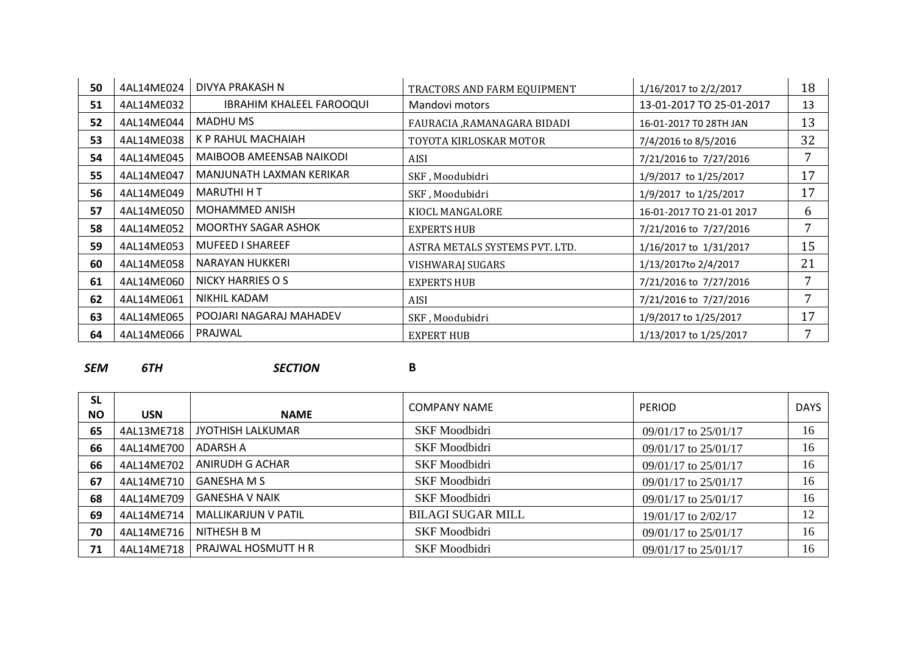| 50 | 4AL14ME024 | DIVYA PRAKASH N                 | TRACTORS AND FARM EQUIPMENT    | 1/16/2017 to 2/2/2017    | 18 |
|----|------------|---------------------------------|--------------------------------|--------------------------|----|
| 51 | 4AL14ME032 | <b>IBRAHIM KHALEEL FAROOQUI</b> | Mandovi motors                 | 13-01-2017 TO 25-01-2017 | 13 |
| 52 | 4AL14ME044 | <b>MADHU MS</b>                 | FAURACIA ,RAMANAGARA BIDADI    | 16-01-2017 TO 28TH JAN   | 13 |
| 53 | 4AL14ME038 | K P RAHUL MACHAIAH              | TOYOTA KIRLOSKAR MOTOR         | 7/4/2016 to 8/5/2016     | 32 |
| 54 | 4AL14ME045 | MAIBOOB AMEENSAB NAIKODI        | <b>AISI</b>                    | 7/21/2016 to 7/27/2016   | 7  |
| 55 | 4AL14ME047 | MANJUNATH LAXMAN KERIKAR        | SKF, Moodubidri                | 1/9/2017 to 1/25/2017    | 17 |
| 56 | 4AL14ME049 | <b>MARUTHI H T</b>              | SKF, Moodubidri                | 1/9/2017 to 1/25/2017    | 17 |
| 57 | 4AL14ME050 | MOHAMMED ANISH                  | KIOCL MANGALORE                | 16-01-2017 TO 21-01 2017 | 6  |
| 58 | 4AL14ME052 | <b>MOORTHY SAGAR ASHOK</b>      | <b>EXPERTS HUB</b>             | 7/21/2016 to 7/27/2016   | 7  |
| 59 | 4AL14ME053 | <b>MUFEED I SHAREEF</b>         | ASTRA METALS SYSTEMS PVT. LTD. | 1/16/2017 to 1/31/2017   | 15 |
| 60 | 4AL14ME058 | NARAYAN HUKKERI                 | VISHWARAJ SUGARS               | 1/13/2017to 2/4/2017     | 21 |
| 61 | 4AL14ME060 | NICKY HARRIES O S               | <b>EXPERTS HUB</b>             | 7/21/2016 to 7/27/2016   | 7  |
| 62 | 4AL14ME061 | NIKHIL KADAM                    | <b>AISI</b>                    | 7/21/2016 to 7/27/2016   | 7  |
| 63 | 4AL14ME065 | POOJARI NAGARAJ MAHADEV         | SKF, Moodubidri                | 1/9/2017 to 1/25/2017    | 17 |
| 64 | 4AL14ME066 | PRAJWAL                         | <b>EXPERT HUB</b>              | 1/13/2017 to 1/25/2017   | 7  |

*SEM 6TH SECTION* **B**

| <b>SL</b><br><b>NO</b> | <b>USN</b> | <b>NAME</b>              | <b>COMPANY NAME</b>      | <b>PERIOD</b>            | <b>DAYS</b> |
|------------------------|------------|--------------------------|--------------------------|--------------------------|-------------|
| 65                     | 4AL13ME718 | <b>JYOTHISH LALKUMAR</b> | <b>SKF</b> Moodbidri     | 09/01/17 to 25/01/17     | 16          |
| 66                     | 4AL14ME700 | ADARSH A                 | <b>SKF</b> Moodbidri     | 09/01/17 to 25/01/17     | 16          |
| 66                     | 4AL14ME702 | ANIRUDH G ACHAR          | <b>SKF</b> Moodbidri     | 09/01/17 to 25/01/17     | 16          |
| 67                     | 4AL14ME710 | <b>GANESHA M S</b>       | <b>SKF</b> Moodbidri     | 09/01/17 to 25/01/17     | 16          |
| 68                     | 4AL14ME709 | <b>GANESHA V NAIK</b>    | <b>SKF</b> Moodbidri     | 09/01/17 to 25/01/17     | 16          |
| 69                     | 4AL14ME714 | MALLIKARJUN V PATIL      | <b>BILAGI SUGAR MILL</b> | 19/01/17 to 2/02/17      | 12          |
| 70                     | 4AL14ME716 | NITHESH B M              | <b>SKF</b> Moodbidri     | 09/01/17 to 25/01/17     | 16          |
| 71                     | 4AL14ME718 | PRAJWAL HOSMUTT H R      | <b>SKF</b> Moodbidri     | $09/01/17$ to $25/01/17$ | 16          |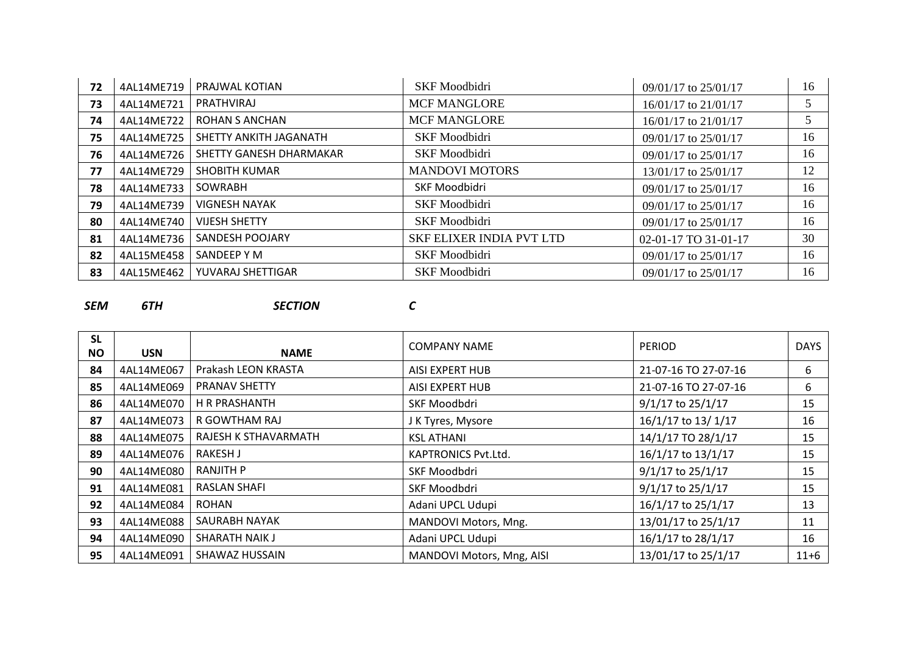| 72 | 4AL14ME719 | PRAJWAL KOTIAN          | <b>SKF</b> Moodbidri            | $09/01/17$ to $25/01/17$ | 16 |
|----|------------|-------------------------|---------------------------------|--------------------------|----|
| 73 | 4AL14ME721 | PRATHVIRAJ              | <b>MCF MANGLORE</b>             | 16/01/17 to 21/01/17     |    |
| 74 | 4AL14ME722 | <b>ROHAN S ANCHAN</b>   | <b>MCF MANGLORE</b>             | $16/01/17$ to $21/01/17$ |    |
| 75 | 4AL14ME725 | SHETTY ANKITH JAGANATH  | <b>SKF</b> Moodbidri            | 09/01/17 to 25/01/17     | 16 |
| 76 | 4AL14ME726 | SHETTY GANESH DHARMAKAR | <b>SKF</b> Moodbidri            | 09/01/17 to 25/01/17     | 16 |
| 77 | 4AL14ME729 | <b>SHOBITH KUMAR</b>    | <b>MANDOVI MOTORS</b>           | 13/01/17 to 25/01/17     | 12 |
| 78 | 4AL14ME733 | SOWRABH                 | SKF Moodbidri                   | $09/01/17$ to $25/01/17$ | 16 |
| 79 | 4AL14ME739 | <b>VIGNESH NAYAK</b>    | <b>SKF</b> Moodbidri            | $09/01/17$ to $25/01/17$ | 16 |
| 80 | 4AL14ME740 | <b>VIJESH SHETTY</b>    | <b>SKF</b> Moodbidri            | $09/01/17$ to 25/01/17   | 16 |
| 81 | 4AL14ME736 | SANDESH POOJARY         | <b>SKF ELIXER INDIA PVT LTD</b> | 02-01-17 TO 31-01-17     | 30 |
| 82 | 4AL15ME458 | SANDEEP Y M             | <b>SKF</b> Moodbidri            | 09/01/17 to 25/01/17     | 16 |
| 83 | 4AL15ME462 | YUVARAJ SHETTIGAR       | <b>SKF</b> Moodbidri            | $09/01/17$ to $25/01/17$ | 16 |

### *SEM 6TH SECTION C*

| <b>SL</b><br><b>NO</b> | <b>USN</b> | <b>NAME</b>          | <b>COMPANY NAME</b>       | <b>PERIOD</b>        | <b>DAYS</b> |
|------------------------|------------|----------------------|---------------------------|----------------------|-------------|
| 84                     | 4AL14ME067 | Prakash LEON KRASTA  | AISI EXPERT HUB           | 21-07-16 TO 27-07-16 | 6           |
| 85                     | 4AL14ME069 | <b>PRANAV SHETTY</b> | AISI EXPERT HUB           | 21-07-16 TO 27-07-16 | 6           |
| 86                     | 4AL14ME070 | H R PRASHANTH        | SKF Moodbdri              | $9/1/17$ to 25/1/17  | 15          |
| 87                     | 4AL14ME073 | R GOWTHAM RAJ        | J K Tyres, Mysore         | 16/1/17 to 13/1/17   | 16          |
| 88                     | 4AL14ME075 | RAJESH K STHAVARMATH | <b>KSL ATHANI</b>         | 14/1/17 TO 28/1/17   | 15          |
| 89                     | 4AL14ME076 | RAKESH J             | KAPTRONICS Pvt.Ltd.       | 16/1/17 to 13/1/17   | 15          |
| 90                     | 4AL14ME080 | <b>RANJITH P</b>     | SKF Moodbdri              | 9/1/17 to 25/1/17    | 15          |
| 91                     | 4AL14ME081 | <b>RASLAN SHAFI</b>  | SKF Moodbdri              | 9/1/17 to 25/1/17    | 15          |
| 92                     | 4AL14ME084 | <b>ROHAN</b>         | Adani UPCL Udupi          | 16/1/17 to 25/1/17   | 13          |
| 93                     | 4AL14ME088 | SAURABH NAYAK        | MANDOVI Motors, Mng.      | 13/01/17 to 25/1/17  | 11          |
| 94                     | 4AL14ME090 | SHARATH NAIK J       | Adani UPCL Udupi          | 16/1/17 to 28/1/17   | 16          |
| 95                     | 4AL14ME091 | SHAWAZ HUSSAIN       | MANDOVI Motors, Mng, AISI | 13/01/17 to 25/1/17  | $11+6$      |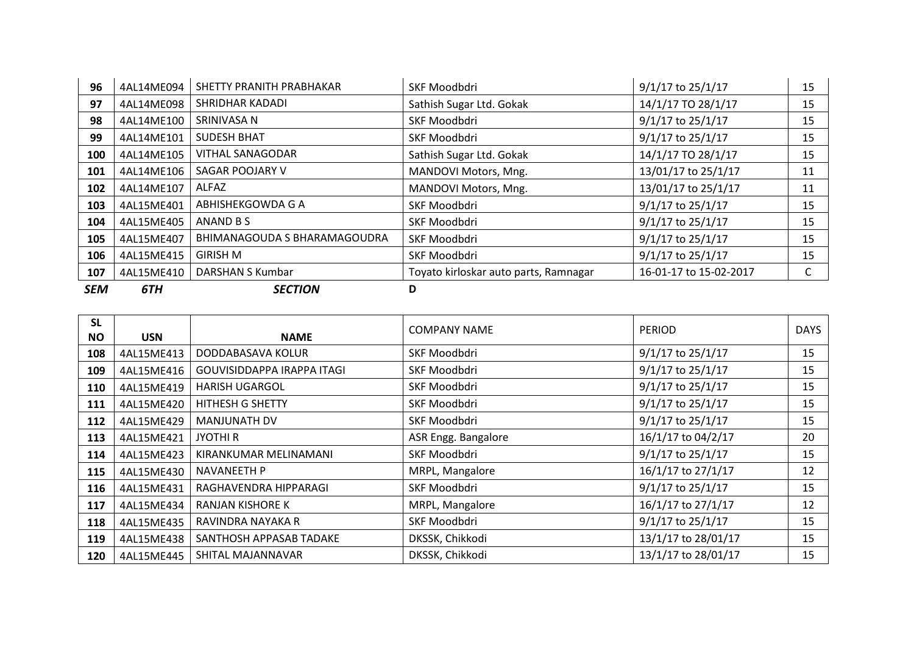| 96         | 4AL14ME094 | SHETTY PRANITH PRABHAKAR     | SKF Moodbdri                          | 9/1/17 to 25/1/17      | 15 |
|------------|------------|------------------------------|---------------------------------------|------------------------|----|
| 97         | 4AL14ME098 | SHRIDHAR KADADI              | Sathish Sugar Ltd. Gokak              | 14/1/17 TO 28/1/17     | 15 |
| 98         | 4AL14ME100 | SRINIVASA N                  | SKF Moodbdri                          | 9/1/17 to 25/1/17      | 15 |
| 99         | 4AL14ME101 | <b>SUDESH BHAT</b>           | SKF Moodbdri                          | 9/1/17 to 25/1/17      | 15 |
| 100        | 4AL14ME105 | <b>VITHAL SANAGODAR</b>      | Sathish Sugar Ltd. Gokak              | 14/1/17 TO 28/1/17     | 15 |
| 101        | 4AL14ME106 | SAGAR POOJARY V              | MANDOVI Motors, Mng.                  | 13/01/17 to 25/1/17    | 11 |
| 102        | 4AL14ME107 | ALFAZ                        | MANDOVI Motors, Mng.                  | 13/01/17 to 25/1/17    | 11 |
| 103        | 4AL15ME401 | ABHISHEKGOWDA G A            | SKF Moodbdri                          | 9/1/17 to 25/1/17      | 15 |
| 104        | 4AL15ME405 | ANAND B S                    | SKF Moodbdri                          | 9/1/17 to 25/1/17      | 15 |
| 105        | 4AL15ME407 | BHIMANAGOUDA S BHARAMAGOUDRA | SKF Moodbdri                          | 9/1/17 to 25/1/17      | 15 |
| 106        | 4AL15ME415 | <b>GIRISH M</b>              | SKF Moodbdri                          | 9/1/17 to 25/1/17      | 15 |
| 107        | 4AL15ME410 | DARSHAN S Kumbar             | Toyato kirloskar auto parts, Ramnagar | 16-01-17 to 15-02-2017 |    |
| <b>SEM</b> | 6TH        | <b>SECTION</b>               | D                                     |                        |    |

| <b>SL</b><br><b>NO</b> | <b>USN</b> | <b>NAME</b>                | <b>COMPANY NAME</b> | <b>PERIOD</b>       | <b>DAYS</b> |
|------------------------|------------|----------------------------|---------------------|---------------------|-------------|
| 108                    | 4AL15ME413 | DODDABASAVA KOLUR          | SKF Moodbdri        | $9/1/17$ to 25/1/17 | 15          |
| 109                    | 4AL15ME416 | GOUVISIDDAPPA IRAPPA ITAGI | SKF Moodbdri        | 9/1/17 to 25/1/17   | 15          |
| 110                    | 4AL15ME419 | <b>HARISH UGARGOL</b>      | SKF Moodbdri        | 9/1/17 to 25/1/17   | 15          |
| 111                    | 4AL15ME420 | <b>HITHESH G SHETTY</b>    | SKF Moodbdri        | 9/1/17 to 25/1/17   | 15          |
| 112                    | 4AL15ME429 | <b>MANJUNATH DV</b>        | SKF Moodbdri        | 9/1/17 to 25/1/17   | 15          |
| 113                    | 4AL15ME421 | <b>JYOTHI R</b>            | ASR Engg. Bangalore | 16/1/17 to 04/2/17  | 20          |
| 114                    | 4AL15ME423 | KIRANKUMAR MELINAMANI      | SKF Moodbdri        | 9/1/17 to 25/1/17   | 15          |
| 115                    | 4AL15ME430 | NAVANEETH P                | MRPL, Mangalore     | 16/1/17 to 27/1/17  | 12          |
| 116                    | 4AL15ME431 | RAGHAVENDRA HIPPARAGI      | SKF Moodbdri        | 9/1/17 to 25/1/17   | 15          |
| 117                    | 4AL15ME434 | RANJAN KISHORE K           | MRPL, Mangalore     | 16/1/17 to 27/1/17  | 12          |
| 118                    | 4AL15ME435 | RAVINDRA NAYAKA R          | SKF Moodbdri        | 9/1/17 to 25/1/17   | 15          |
| 119                    | 4AL15ME438 | SANTHOSH APPASAB TADAKE    | DKSSK, Chikkodi     | 13/1/17 to 28/01/17 | 15          |
| 120                    | 4AL15ME445 | SHITAL MAJANNAVAR          | DKSSK, Chikkodi     | 13/1/17 to 28/01/17 | 15          |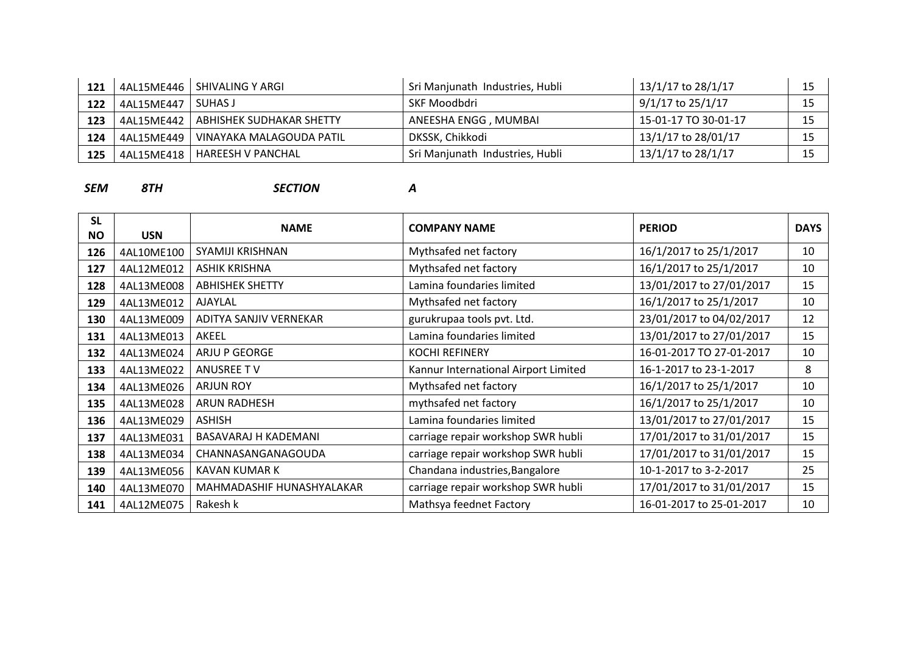| 121 | 4AL15ME446 | SHIVALING Y ARGI         | Sri Manjunath Industries, Hubli | 13/1/17 to 28/1/17   | ∸   |
|-----|------------|--------------------------|---------------------------------|----------------------|-----|
| 122 | 4AL15ME447 | SUHAS J                  | SKF Moodbdri                    | 9/1/17 to 25/1/17    | ب - |
| 123 | 4AL15ME442 | ABHISHEK SUDHAKAR SHETTY | ANEESHA ENGG , MUMBAI           | 15-01-17 TO 30-01-17 |     |
| 124 | 4AL15ME449 | VINAYAKA MALAGOUDA PATIL | DKSSK, Chikkodi                 | 13/1/17 to 28/01/17  |     |
| 125 | 4AL15ME418 | HAREESH V PANCHAL        | Sri Manjunath Industries, Hubli | 13/1/17 to 28/1/17   |     |

*SEM 8TH SECTION A*

**SL NO USN NAME COMPANY NAME PERIOD DAYS** 126 | 4AL10ME100 | SYAMIJI KRISHNAN | Mythsafed net factory | 16/1/2017 to 25/1/2017 | 10 4AL12ME012 ASHIK KRISHNA Mythsafed net factory 16/1/2017 to 25/1/2017 10 4AL13ME008 ABHISHEK SHETTY Lamina foundaries limited 13/01/2017 to 27/01/2017 15 4AL13ME012 AJAYLAL 10 4AL13ME009 ADITYA SANJIV VERNEKAR and a surukrupaa tools pvt. Ltd. 23/01/2017 to 04/02/2017 12 4AL13ME013 AKEEL 15 132 4AL13ME024 ARJU P GEORGE KOCHI REFINERY 16-01-2017 TO 27-01-2017 10 133 4AL13MF022 ANUSREE T V Kannur International Airport Limited 16-1-2017 to 23-1-2017 1 4AL13ME026 ARJUN ROY Mythsafed net factory 16/1/2017 to 25/1/2017 10 4AL13ME028 ARUN RADHESH mythsafed net factory 16/1/2017 to 25/1/2017 10 4AL13ME029 ASHISH **Lamina foundaries limited** 13/01/2017 to 27/01/2017 15 4AL13ME031 BASAVARAJ H KADEMANI carriage repair workshop SWR hubli 17/01/2017 to 31/01/2017 15 4AL13ME034 CHANNASANGANAGOUDA carriage repair workshop SWR hubli 17/01/2017 to 31/01/2017 15 4AL13ME056 | KAVAN KUMAR K K Chandana industries,Bangalore 10-1-2017 to 3-2-2017 10-1-2017 25 AL13ME070 MAHMADASHIF HUNASHYALAKAR carriage repair workshop SWR hubli 17/01/2017 to 31/01/2017 15 | 4AL12ME075 | Rakesh k | Mathsya feednet Factory | 16-01-2017 to 25-01-2017 | 10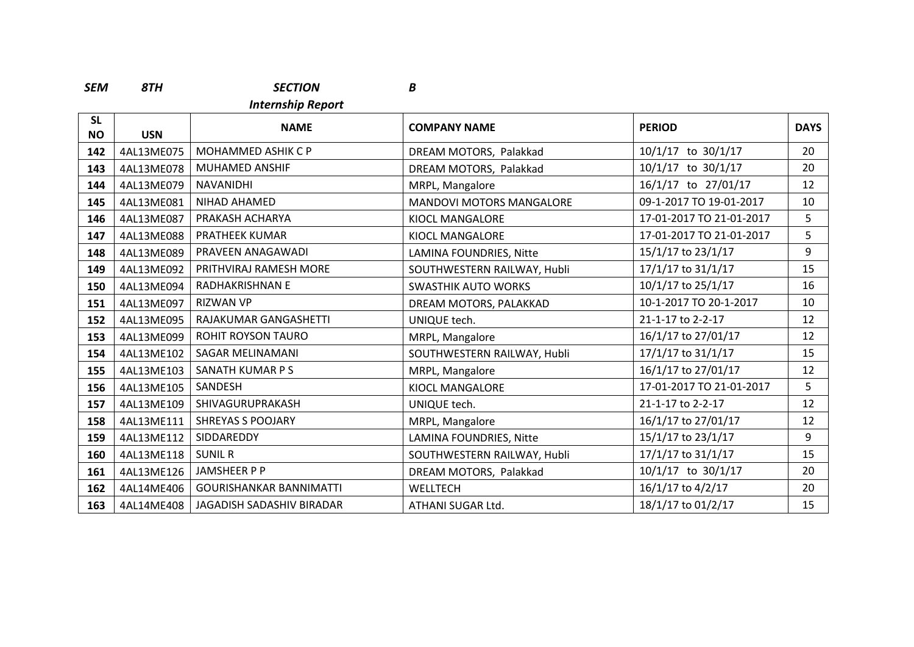### *SEM 8TH SECTION B*

*Internship Report*

| <b>SL</b><br><b>NO</b> | <b>USN</b> | <b>NAME</b>                    | <b>COMPANY NAME</b>             | <b>PERIOD</b>            | <b>DAYS</b>    |
|------------------------|------------|--------------------------------|---------------------------------|--------------------------|----------------|
| 142                    | 4AL13ME075 | MOHAMMED ASHIK C P             | DREAM MOTORS, Palakkad          | $10/1/17$ to $30/1/17$   | 20             |
| 143                    | 4AL13ME078 | MUHAMED ANSHIF                 | DREAM MOTORS, Palakkad          | $10/1/17$ to $30/1/17$   | 20             |
| 144                    | 4AL13ME079 | NAVANIDHI                      | MRPL, Mangalore                 | 16/1/17 to 27/01/17      | 12             |
| 145                    | 4AL13ME081 | <b>NIHAD AHAMED</b>            | <b>MANDOVI MOTORS MANGALORE</b> | 09-1-2017 TO 19-01-2017  | 10             |
| 146                    | 4AL13ME087 | PRAKASH ACHARYA                | KIOCL MANGALORE                 | 17-01-2017 TO 21-01-2017 | 5              |
| 147                    | 4AL13ME088 | <b>PRATHEEK KUMAR</b>          | KIOCL MANGALORE                 | 17-01-2017 TO 21-01-2017 | 5 <sup>1</sup> |
| 148                    | 4AL13ME089 | PRAVEEN ANAGAWADI              | LAMINA FOUNDRIES, Nitte         | 15/1/17 to 23/1/17       | 9              |
| 149                    | 4AL13ME092 | PRITHVIRAJ RAMESH MORE         | SOUTHWESTERN RAILWAY, Hubli     | 17/1/17 to 31/1/17       | 15             |
| 150                    | 4AL13ME094 | RADHAKRISHNAN E                | <b>SWASTHIK AUTO WORKS</b>      | 10/1/17 to 25/1/17       | 16             |
| 151                    | 4AL13ME097 | <b>RIZWAN VP</b>               | DREAM MOTORS, PALAKKAD          | 10-1-2017 TO 20-1-2017   | 10             |
| 152                    | 4AL13ME095 | RAJAKUMAR GANGASHETTI          | UNIQUE tech.                    | 21-1-17 to 2-2-17        | 12             |
| 153                    | 4AL13ME099 | <b>ROHIT ROYSON TAURO</b>      | MRPL, Mangalore                 | 16/1/17 to 27/01/17      | 12             |
| 154                    | 4AL13ME102 | <b>SAGAR MELINAMANI</b>        | SOUTHWESTERN RAILWAY, Hubli     | 17/1/17 to 31/1/17       | 15             |
| 155                    | 4AL13ME103 | SANATH KUMAR P S               | MRPL, Mangalore                 | 16/1/17 to 27/01/17      | 12             |
| 156                    | 4AL13ME105 | SANDESH                        | KIOCL MANGALORE                 | 17-01-2017 TO 21-01-2017 | 5              |
| 157                    | 4AL13ME109 | SHIVAGURUPRAKASH               | UNIQUE tech.                    | 21-1-17 to 2-2-17        | 12             |
| 158                    | 4AL13ME111 | <b>SHREYAS S POOJARY</b>       | MRPL, Mangalore                 | 16/1/17 to 27/01/17      | 12             |
| 159                    | 4AL13ME112 | SIDDAREDDY                     | LAMINA FOUNDRIES, Nitte         | 15/1/17 to 23/1/17       | 9              |
| 160                    | 4AL13ME118 | <b>SUNIL R</b>                 | SOUTHWESTERN RAILWAY, Hubli     | 17/1/17 to 31/1/17       | 15             |
| 161                    | 4AL13ME126 | JAMSHEER P P                   | DREAM MOTORS, Palakkad          | 10/1/17 to 30/1/17       | 20             |
| 162                    | 4AL14ME406 | <b>GOURISHANKAR BANNIMATTI</b> | WELLTECH                        | 16/1/17 to 4/2/17        | 20             |
| 163                    | 4AL14ME408 | JAGADISH SADASHIV BIRADAR      | ATHANI SUGAR Ltd.               | 18/1/17 to 01/2/17       | 15             |